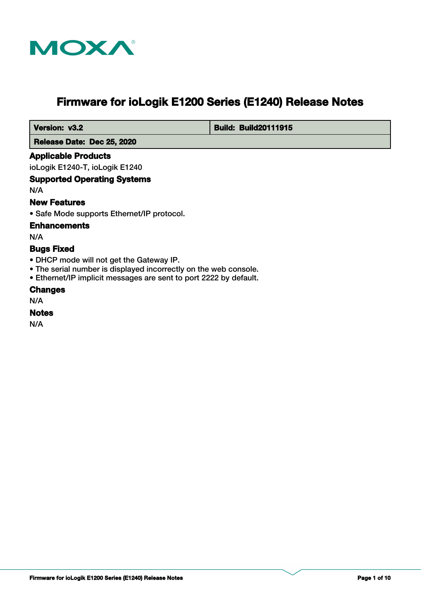

# **Firmware for ioLogik E1200 Series (E1240) Release Notes**

 **Version: v3.2 Build: Build: Build20111915** 

 **Release Date: Dec 25, 2020**

## **Applicable Products**

ioLogik E1240-T, ioLogik E1240

## **Supported Operating Systems**

N/A

## **New Features**

• Safe Mode supports Ethernet/IP protocol.

## **Enhancements**

N/A

## **Bugs Fixed**

- DHCP mode will not get the Gateway IP.
- The serial number is displayed incorrectly on the web console.
- Ethernet/IP implicit messages are sent to port 2222 by default.

#### **Changes**

N/A

## **Notes**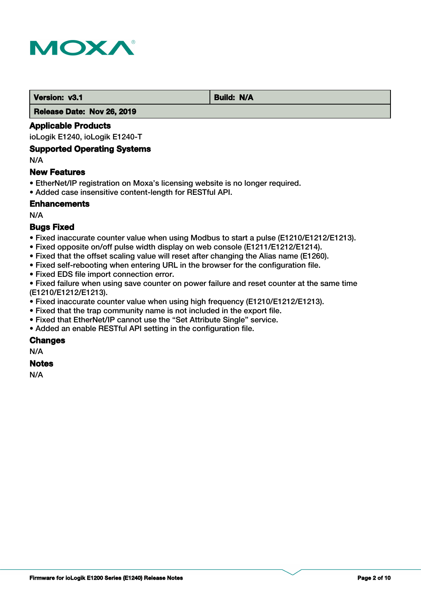

 **Version: v3.1 Build: N/A** 

 **Release Date: Nov 26, 2019**

## **Applicable Products**

ioLogik E1240, ioLogik E1240-T

#### **Supported Operating Systems**

N/A

## **New Features**

- EtherNet/IP registration on Moxa's licensing website is no longer required.
- Added case insensitive content-length for RESTful API.

## **Enhancements**

N/A

## **Bugs Fixed**

- Fixed inaccurate counter value when using Modbus to start a pulse (E1210/E1212/E1213).
- Fixed opposite on/off pulse width display on web console (E1211/E1212/E1214).
- Fixed that the offset scaling value will reset after changing the Alias name (E1260).
- Fixed self-rebooting when entering URL in the browser for the configuration file.
- Fixed EDS file import connection error.

• Fixed failure when using save counter on power failure and reset counter at the same time (E1210/E1212/E1213).

- Fixed inaccurate counter value when using high frequency (E1210/E1212/E1213).
- Fixed that the trap community name is not included in the export file.
- Fixed that EtherNet/IP cannot use the "Set Attribute Single" service.
- Added an enable RESTful API setting in the configuration file.

## **Changes**

N/A

## **Notes**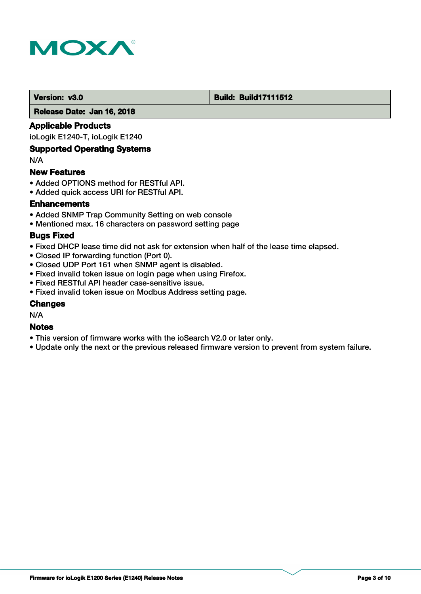

#### **Version: v3.0 Build: Build: Build17111512**

 **Release Date: Jan 16, 2018**

## **Applicable Products**

ioLogik E1240-T, ioLogik E1240

## **Supported Operating Systems**

N/A

#### **New Features**

- Added OPTIONS method for RESTful API.
- Added quick access URI for RESTful API.

## **Enhancements**

- Added SNMP Trap Community Setting on web console
- Mentioned max. 16 characters on password setting page

#### **Bugs Fixed**

- Fixed DHCP lease time did not ask for extension when half of the lease time elapsed.
- Closed IP forwarding function (Port 0).
- Closed UDP Port 161 when SNMP agent is disabled.
- Fixed invalid token issue on login page when using Firefox.
- Fixed RESTful API header case-sensitive issue.
- Fixed invalid token issue on Modbus Address setting page.

#### **Changes**

N/A

#### **Notes**

- This version of firmware works with the ioSearch V2.0 or later only.
- Update only the next or the previous released firmware version to prevent from system failure.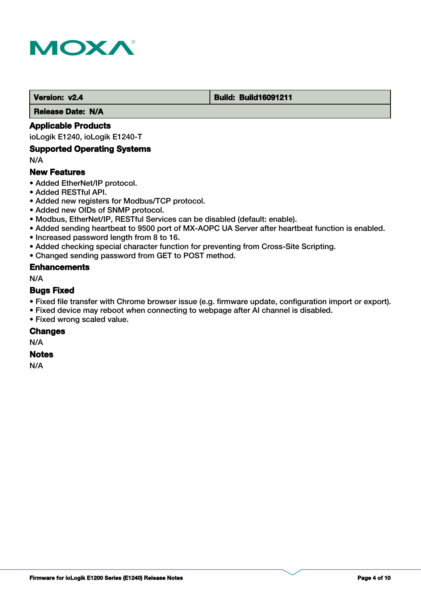

#### **Version: v2.4 Build: Build: Build16091211**

 **Release Date: N/A**

## **Applicable Products**

ioLogik E1240, ioLogik E1240-T

#### **Supported Operating Systems**

N/A

## **New Features**

- Added EtherNet/IP protocol.
- Added RESTful API.
- Added new registers for Modbus/TCP protocol.
- Added new OIDs of SNMP protocol.
- Modbus, EtherNet/IP, RESTful Services can be disabled (default: enable).
- Added sending heartbeat to 9500 port of MX-AOPC UA Server after heartbeat function is enabled.
- Increased password length from 8 to 16.
- Added checking special character function for preventing from Cross-Site Scripting.
- Changed sending password from GET to POST method.

#### **Enhancements**

N/A

## **Bugs Fixed**

- Fixed file transfer with Chrome browser issue (e.g. firmware update, configuration import or export).
- Fixed device may reboot when connecting to webpage after AI channel is disabled.
- Fixed wrong scaled value.

#### **Changes**

N/A

## **Notes**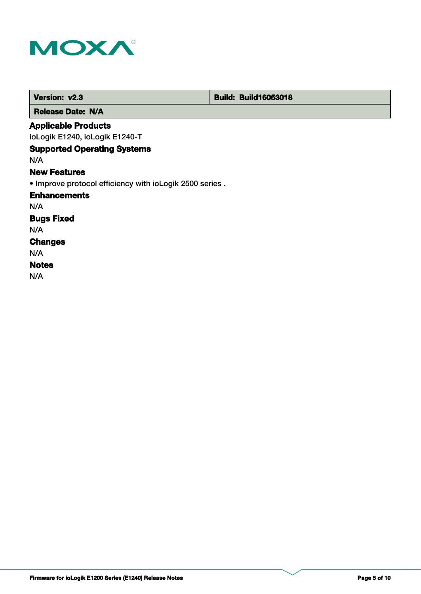

| Version: v2.3                                            | <b>Build: Build16053018</b> |
|----------------------------------------------------------|-----------------------------|
| <b>Release Date: N/A</b>                                 |                             |
| <b>Applicable Products</b>                               |                             |
| ioLogik E1240, ioLogik E1240-T                           |                             |
| <b>Supported Operating Systems</b>                       |                             |
| N/A                                                      |                             |
| <b>New Features</b>                                      |                             |
| . Improve protocol efficiency with ioLogik 2500 series . |                             |
| <b>Enhancements</b>                                      |                             |
| N/A                                                      |                             |
| <b>Bugs Fixed</b>                                        |                             |
| N/A                                                      |                             |
| <b>Changes</b>                                           |                             |
| N/A                                                      |                             |
| <b>Notes</b>                                             |                             |
| N/A                                                      |                             |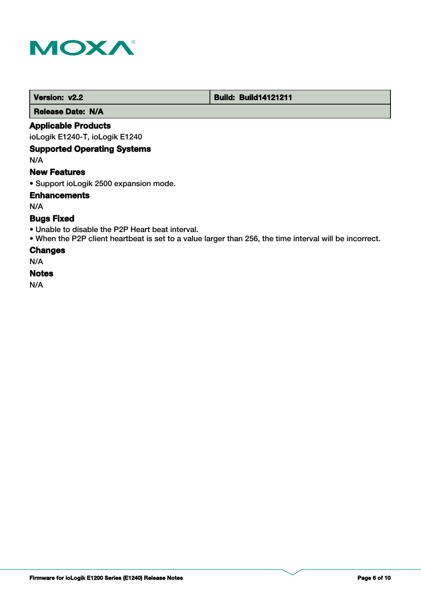

 **Version: v2.2 Build: Build: Build14121211** 

 **Release Date: N/A**

## **Applicable Products**

ioLogik E1240-T, ioLogik E1240

## **Supported Operating Systems**

N/A

#### **New Features**

• Support ioLogik 2500 expansion mode.

## **Enhancements**

N/A

## **Bugs Fixed**

- Unable to disable the P2P Heart beat interval.
- When the P2P client heartbeat is set to a value larger than 256, the time interval will be incorrect.

#### **Changes**

N/A

#### **Notes**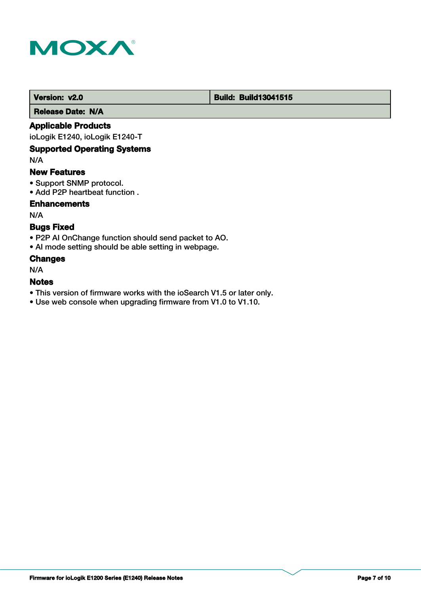

#### **Version: v2.0 Build: Build: Build13041515**

 **Release Date: N/A**

## **Applicable Products**

ioLogik E1240, ioLogik E1240-T

### **Supported Operating Systems**

N/A

### **New Features**

- Support SNMP protocol.
- Add P2P heartbeat function .

## **Enhancements**

N/A

## **Bugs Fixed**

- P2P AI OnChange function should send packet to AO.
- AI mode setting should be able setting in webpage.

#### **Changes**

N/A

#### **Notes**

- This version of firmware works with the ioSearch V1.5 or later only.
- Use web console when upgrading firmware from V1.0 to V1.10.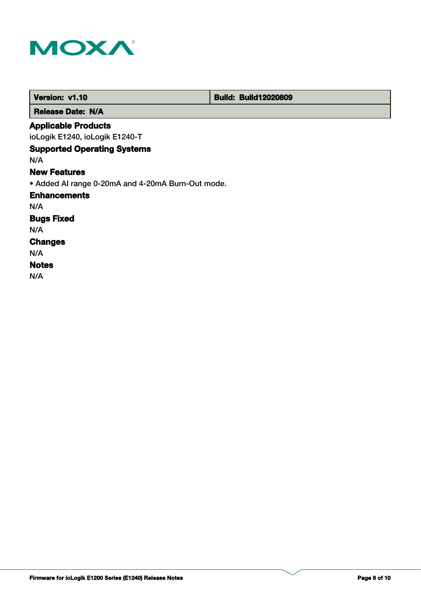

| Version: v1.10                                    | <b>Build: Build12020809</b> |
|---------------------------------------------------|-----------------------------|
| <b>Release Date: N/A</b>                          |                             |
| <b>Applicable Products</b>                        |                             |
| ioLogik E1240, ioLogik E1240-T                    |                             |
| <b>Supported Operating Systems</b>                |                             |
| N/A                                               |                             |
| <b>New Features</b>                               |                             |
| • Added AI range 0-20mA and 4-20mA Burn-Out mode. |                             |
| <b>Enhancements</b>                               |                             |
| N/A                                               |                             |
| <b>Bugs Fixed</b>                                 |                             |
| N/A                                               |                             |
| <b>Changes</b>                                    |                             |
| N/A                                               |                             |
| <b>Notes</b>                                      |                             |
| N/A                                               |                             |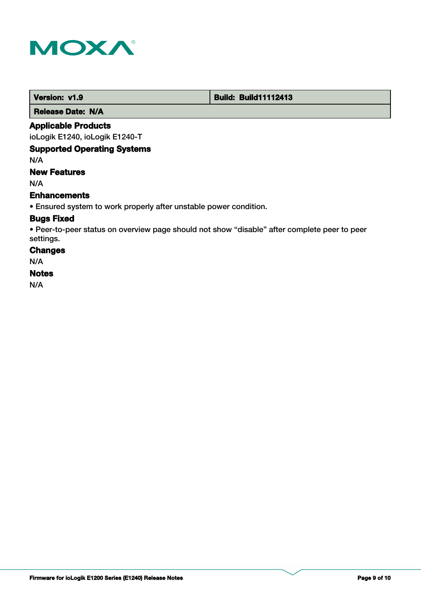

 **Version: v1.9 Build: Build: Build11112413** 

 **Release Date: N/A**

## **Applicable Products**

ioLogik E1240, ioLogik E1240-T

## **Supported Operating Systems**

N/A

## **New Features**

N/A

## **Enhancements**

• Ensured system to work properly after unstable power condition.

## **Bugs Fixed**

• Peer-to-peer status on overview page should not show "disable" after complete peer to peer settings.

#### **Changes**

N/A

## **Notes**